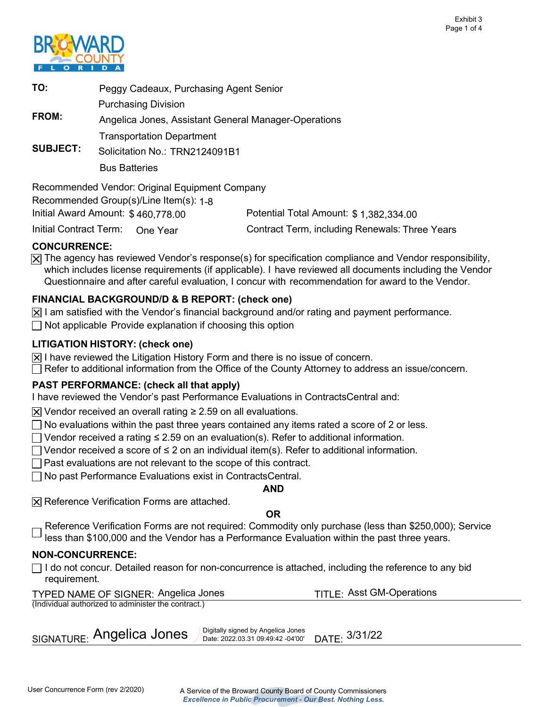

| TO:                                                                          | Peggy Cadeaux, Purchasing Agent Senior               |  |  |  |
|------------------------------------------------------------------------------|------------------------------------------------------|--|--|--|
|                                                                              | <b>Purchasing Division</b>                           |  |  |  |
| <b>FROM:</b>                                                                 | Angelica Jones, Assistant General Manager-Operations |  |  |  |
|                                                                              | <b>Transportation Department</b>                     |  |  |  |
| <b>SUBJECT:</b>                                                              | Solicitation No.: TRN2124091B1                       |  |  |  |
|                                                                              | <b>Bus Batteries</b>                                 |  |  |  |
| Recommended Vendor: Original Equipment Company                               |                                                      |  |  |  |
| Recommended Group(s)/Line Item(s): 1-8                                       |                                                      |  |  |  |
| Initial Award Amount: \$460,778.00<br>Potential Total Amount: \$1,382,334.00 |                                                      |  |  |  |

Initial Contract Term: One Year

Contract Term, including Renewals: Three Years

## CONCURRENCE:

The agency has reviewed Vendor's response(s) for specification compliance and Vendor responsibility, which includes license requirements (if applicable). I have reviewed all documents including the Vendor Questionnaire and after careful evaluation, I concur with recommendation for award to the Vendor.

# FINANCIAL BACKGROUND/D & B REPORT: (check one)

- I am satisfied with the Vendor's financial background and/or rating and payment performance.
- Not applicable Provide explanation if choosing this option

# LITIGATION HISTORY: (check one)

- I have reviewed the Litigation History Form and there is no issue of concern.
- Refer to additional information from the Office of the County Attorney to address an issue/concern.

# PAST PERFORMANCE: (check all that apply)

I have reviewed the Vendor's past Performance Evaluations in ContractsCentral and:

Vendor received an overall rating  $\geq 2.59$  on all evaluations.

- No evaluations within the past three years contained any items rated a score of 2 or less.
- Vendor received a rating  $\leq 2.59$  on an evaluation(s). Refer to additional information.
- Vendor received a score of  $\leq$  2 on an individual item(s). Refer to additional information.
- Past evaluations are not relevant to the scope of this contract.
- No past Performance Evaluations exist in ContractsCentral.

### AND

Reference Verification Forms are attached.

### OR

 Reference Verification Forms are not required: Commodity only purchase (less than \$250,000); Service less than \$100,000 and the Vendor has a Performance Evaluation within the past three years.

### NON-CONCURRENCE:

 I do not concur. Detailed reason for non-concurrence is attached, including the reference to any bid requirement.

### TYPED NAME OF SIGNER: Angelica Jones TITLE: Asst GM-Operations (Individual authorized to administer the contract.)

 Digitally signed by Angelica Jones SIGNATURE: Angelica Jones Apartally signed by Angelica Jones DATE: 3/31/22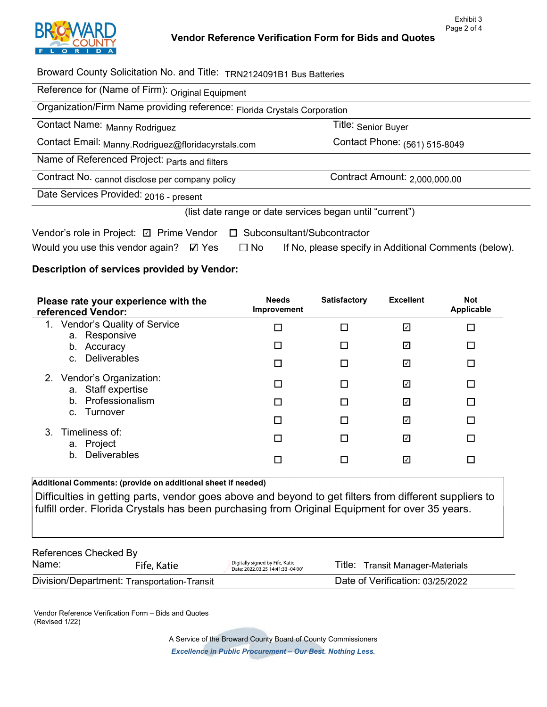

Title: <sub>Senior Buyer</sub>

Broward County Solicitation No. and Title: TRN2124091B1 Bus Batteries

Organization/Firm Name providing reference: Florida Crystals Corporation

|  | Contact Name: Manny Rodriguez |
|--|-------------------------------|
|--|-------------------------------|

Contact Email: <sub>[Manny.Rodriguez@floridacyrstals.com](mailto:Manny.Rodriguez@floridacyrstals.com)</sub> Contact Phone: <sub>(561)</sub> 515-8049

Name of Referenced Project: <sub>Parts and filters</sub>

Contract No. <sub>cannot</sub> disclose per company policy \_\_\_\_\_\_\_\_\_\_\_\_\_\_\_\_\_\_\_\_\_\_Contract Amount: <sub>[2,000,000.00](https://2,000,000.00)</sub>

Date Services Provided: 2016 - present

(list date range or date services began until "current")

| Vendor's role in Project: <b>Z</b> Prime Vendor <b>D</b> Subconsultant/Subcontractor |           |                                                       |
|--------------------------------------------------------------------------------------|-----------|-------------------------------------------------------|
| Would you use this vendor again? $\boxtimes$ Yes                                     | $\Box$ No | If No, please specify in Additional Comments (below). |

## Description of services provided by Vendor:

| Please rate your experience with the<br>referenced Vendor:  | <b>Needs</b><br>Improvement | <b>Satisfactory</b> | <b>Excellent</b> | <b>Not</b><br>Applicable |
|-------------------------------------------------------------|-----------------------------|---------------------|------------------|--------------------------|
| Vendor's Quality of Service<br>$1_{\cdot}$<br>a. Responsive |                             |                     | ☑                |                          |
| b. Accuracy                                                 |                             |                     | ☑                |                          |
| c. Deliverables                                             |                             |                     | ☑                | П                        |
| 2. Vendor's Organization:<br>a. Staff expertise             |                             |                     | ☑                | П                        |
| b. Professionalism                                          |                             | П                   | ☑                | П                        |
| c. Turnover                                                 |                             |                     | ☑                |                          |
| 3. Timeliness of:<br>a. Project                             |                             |                     | ☑                |                          |
| <b>Deliverables</b><br>$b_{-}$                              |                             |                     | ☑                |                          |

### Additional Comments: (provide on additional sheet if needed)

 Difficulties in getting parts, vendor goes above and beyond to get filters from different suppliers to fulfill order. Florida Crystals has been purchasing from Original Equipment for over 35 years.

| References Checked By                       |             |                                                                      |                                  |  |  |  |
|---------------------------------------------|-------------|----------------------------------------------------------------------|----------------------------------|--|--|--|
| Name:                                       | Fife, Katie | Digitally signed by Fife, Katie<br>Date: 2022.03.25 14:41:33 -04'00' | Title: Transit Manager-Materials |  |  |  |
| Division/Department: Transportation-Transit |             |                                                                      | Date of Verification: 03/25/2022 |  |  |  |

Vendor Reference Verification Form - Bids and Quotes (Revised 1/22)

> A Service of the Broward County Board of County Commissioners Excellence in Public Procurement - Our Best. Nothing Less.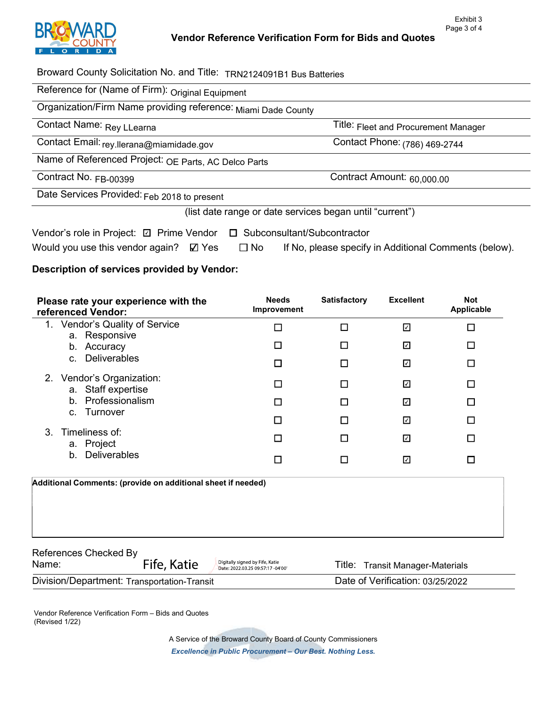

Title: Fleet and Procurement Manager

Contract Amount: 60,000.00

Broward County Solicitation No. and Title: TRN2124091B1 Bus Batteries

Organization/Firm Name providing reference: Miami Dade County

| Contact Name: Rey LLearna |
|---------------------------|
|---------------------------|

Contact Email: <sub>rey.llerana@miamidade.gov Contact Phone: <sub>(786)</sub> 469-2744</sub>

Name of Referenced Project: OE Parts, AC Delco Parts

Contract No. FB-00399

Date Services Provided: Feb 2018 to present

(list date range or date services began until "current")

| Vendor's role in Project: ☑ Prime Vendor □ Subconsultant/Subcontractor |           |                                                       |
|------------------------------------------------------------------------|-----------|-------------------------------------------------------|
| Would you use this vendor again? $\boxtimes$ Yes                       | $\Box$ No | If No, please specify in Additional Comments (below). |

## Description of services provided by Vendor:

| Please rate your experience with the<br>referenced Vendor:   | <b>Needs</b><br>Improvement                                          | <b>Satisfactory</b> | <b>Excellent</b>                 | <b>Not</b><br><b>Applicable</b> |
|--------------------------------------------------------------|----------------------------------------------------------------------|---------------------|----------------------------------|---------------------------------|
| Vendor's Quality of Service<br>1.<br>a. Responsive           | □                                                                    | П                   | ☑                                | П                               |
| Accuracy<br>b.                                               | □                                                                    | П                   | ☑                                | □                               |
| <b>Deliverables</b><br>$C_{1}$                               | П                                                                    | П                   | ☑                                | □                               |
| 2. Vendor's Organization:<br>Staff expertise<br>a.           | $\Box$                                                               | ப                   | ☑                                | ப                               |
| Professionalism<br>b <sub>1</sub>                            | П                                                                    | П                   | ☑                                | П                               |
| Turnover<br>C.                                               | П                                                                    | П                   | ☑                                | □                               |
| 3<br>Timeliness of:<br>a. Project                            | $\Box$                                                               | П                   | ☑                                | П                               |
| <b>Deliverables</b><br>b.                                    | □                                                                    | П                   | ☑                                | □                               |
| Additional Comments: (provide on additional sheet if needed) |                                                                      |                     |                                  |                                 |
| References Checked By<br>Fife, Katie<br>Name:                | Digitally signed by Fife, Katie<br>Date: 2022.03.25 09:57:17 -04'00' | Title:              | <b>Transit Manager-Materials</b> |                                 |

|                                             | $-$ Date: 2022.03.23 09.37.17 - 04 00 |                                  |
|---------------------------------------------|---------------------------------------|----------------------------------|
| Division/Department: Transportation-Transit |                                       | Date of Verification: 03/25/2022 |

Vendor Reference Verification Form - Bids and Quotes (Revised 1/22)

> A Service of the Broward County Board of County Commissioners Excellence in Public Procurement - Our Best. Nothing Less.